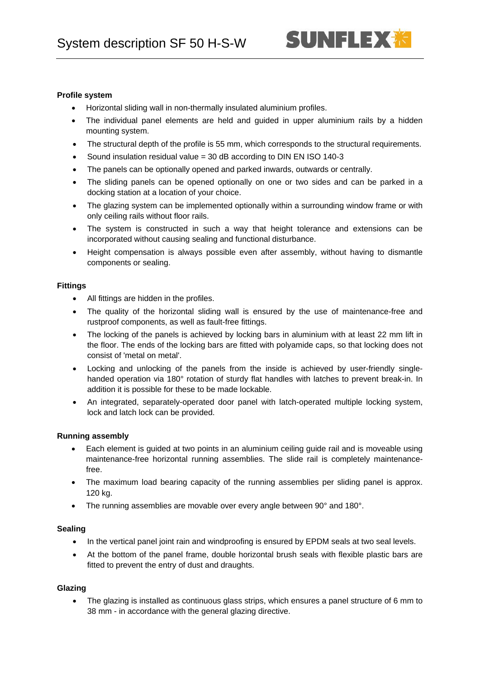## **Profile system**

- Horizontal sliding wall in non-thermally insulated aluminium profiles.
- The individual panel elements are held and guided in upper aluminium rails by a hidden mounting system.
- The structural depth of the profile is 55 mm, which corresponds to the structural requirements.
- Sound insulation residual value = 30 dB according to DIN EN ISO 140-3
- The panels can be optionally opened and parked inwards, outwards or centrally.
- The sliding panels can be opened optionally on one or two sides and can be parked in a docking station at a location of your choice.
- The glazing system can be implemented optionally within a surrounding window frame or with only ceiling rails without floor rails.
- The system is constructed in such a way that height tolerance and extensions can be incorporated without causing sealing and functional disturbance.
- Height compensation is always possible even after assembly, without having to dismantle components or sealing.

### **Fittings**

- All fittings are hidden in the profiles.
- The quality of the horizontal sliding wall is ensured by the use of maintenance-free and rustproof components, as well as fault-free fittings.
- The locking of the panels is achieved by locking bars in aluminium with at least 22 mm lift in the floor. The ends of the locking bars are fitted with polyamide caps, so that locking does not consist of 'metal on metal'.
- Locking and unlocking of the panels from the inside is achieved by user-friendly singlehanded operation via 180° rotation of sturdy flat handles with latches to prevent break-in. In addition it is possible for these to be made lockable.
- An integrated, separately-operated door panel with latch-operated multiple locking system, lock and latch lock can be provided.

### **Running assembly**

- Each element is guided at two points in an aluminium ceiling guide rail and is moveable using maintenance-free horizontal running assemblies. The slide rail is completely maintenancefree.
- The maximum load bearing capacity of the running assemblies per sliding panel is approx. 120 kg.
- The running assemblies are movable over every angle between 90° and 180°.

### **Sealing**

- In the vertical panel joint rain and windproofing is ensured by EPDM seals at two seal levels.
- At the bottom of the panel frame, double horizontal brush seals with flexible plastic bars are fitted to prevent the entry of dust and draughts.

# **Glazing**

• The glazing is installed as continuous glass strips, which ensures a panel structure of 6 mm to 38 mm - in accordance with the general glazing directive.